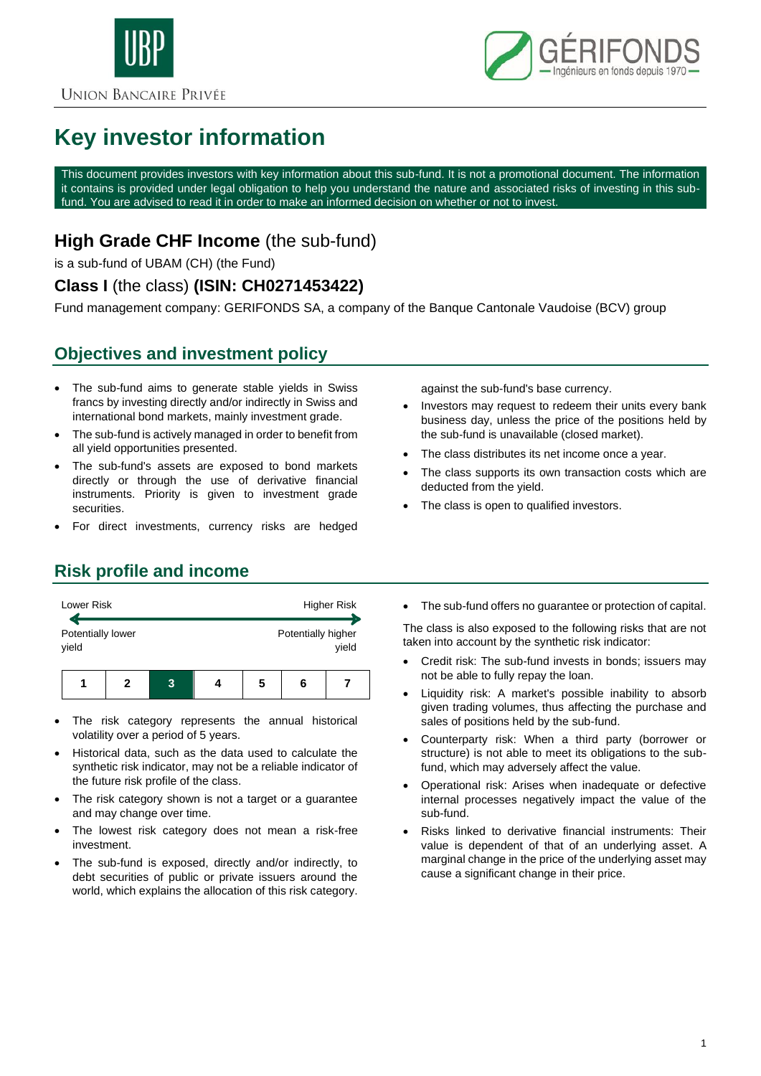



# **Key investor information**

This document provides investors with key information about this sub-fund. It is not a promotional document. The information it contains is provided under legal obligation to help you understand the nature and associated risks of investing in this subfund. You are advised to read it in order to make an informed decision on whether or not to invest.

## **High Grade CHF Income** (the sub-fund)

is a sub-fund of UBAM (CH) (the Fund)

### **Class I** (the class) **(ISIN: CH0271453422)**

Fund management company: GERIFONDS SA, a company of the Banque Cantonale Vaudoise (BCV) group

## **Objectives and investment policy**

- The sub-fund aims to generate stable yields in Swiss francs by investing directly and/or indirectly in Swiss and international bond markets, mainly investment grade.
- The sub-fund is actively managed in order to benefit from all yield opportunities presented.
- The sub-fund's assets are exposed to bond markets directly or through the use of derivative financial instruments. Priority is given to investment grade securities.
- For direct investments, currency risks are hedged

against the sub-fund's base currency.

- Investors may request to redeem their units every bank business day, unless the price of the positions held by the sub-fund is unavailable (closed market).
- The class distributes its net income once a year.
- The class supports its own transaction costs which are deducted from the yield.
- The class is open to qualified investors.

## **Risk profile and income**



- The risk category represents the annual historical volatility over a period of 5 years.
- Historical data, such as the data used to calculate the synthetic risk indicator, may not be a reliable indicator of the future risk profile of the class.
- The risk category shown is not a target or a guarantee and may change over time.
- The lowest risk category does not mean a risk-free investment.
- The sub-fund is exposed, directly and/or indirectly, to debt securities of public or private issuers around the world, which explains the allocation of this risk category.

• The sub-fund offers no guarantee or protection of capital.

The class is also exposed to the following risks that are not taken into account by the synthetic risk indicator:

- Credit risk: The sub-fund invests in bonds; issuers may not be able to fully repay the loan.
- Liquidity risk: A market's possible inability to absorb given trading volumes, thus affecting the purchase and sales of positions held by the sub-fund.
- Counterparty risk: When a third party (borrower or structure) is not able to meet its obligations to the subfund, which may adversely affect the value.
- Operational risk: Arises when inadequate or defective internal processes negatively impact the value of the sub-fund.
- Risks linked to derivative financial instruments: Their value is dependent of that of an underlying asset. A marginal change in the price of the underlying asset may cause a significant change in their price.